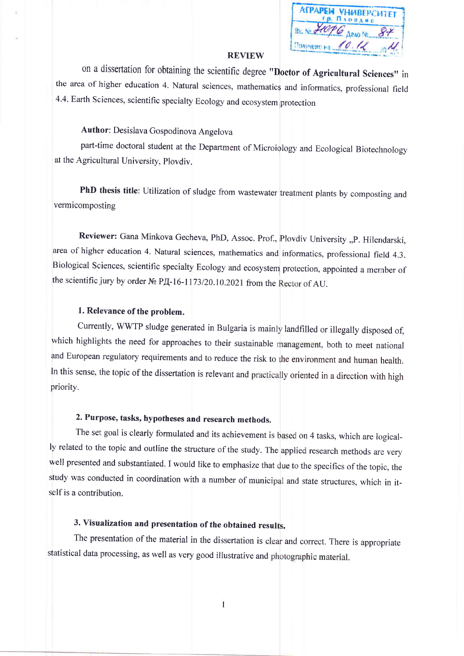$Bx - N_2$ Получено на 4

#### **REVIEW**

on a dissertation for obtaining the scientific degree "Doctor of Agricultural Sciences" in the area of higher education 4. Natural sciences, mathematics and informatics, professional field 4.4. Earth Sciences, scientific specialty Ecology and ecosystem protection

## Author: Desislava Gospodinova Angelova

part-time doctoral student at the Department of Microiology and Ecological Biotechnology at the Agricultural University, Ploydiy.

PhD thesis title: Utilization of sludge from wastewater treatment plants by composting and vermicomposting

Reviewer: Gana Minkova Gecheva, PhD, Assoc. Prof., Plovdiv University "P. Hilendarski, area of higher education 4. Natural sciences, mathematics and informatics, professional field 4.3. Biological Sciences, scientific specialty Ecology and ecosystem protection, appointed a member of the scientific jury by order  $N_2$  P $\overline{A}$ -16-1173/20.10.2021 from the Rector of AU.

### 1. Relevance of the problem.

Currently, WWTP sludge generated in Bulgaria is mainly landfilled or illegally disposed of, which highlights the need for approaches to their sustainable management, both to meet national and European regulatory requirements and to reduce the risk to the environment and human health. In this sense, the topic of the dissertation is relevant and practically oriented in a direction with high priority.

# 2. Purpose, tasks, hypotheses and research methods.

The set goal is clearly formulated and its achievement is based on 4 tasks, which are logically related to the topic and outline the structure of the study. The applied research methods are very well presented and substantiated. I would like to emphasize that due to the specifics of the topic, the study was conducted in coordination with a number of municipal and state structures, which in itself is a contribution.

# 3. Visualization and presentation of the obtained results.

The presentation of the material in the dissertation is clear and correct. There is appropriate statistical data processing, as well as very good illustrative and photographic material.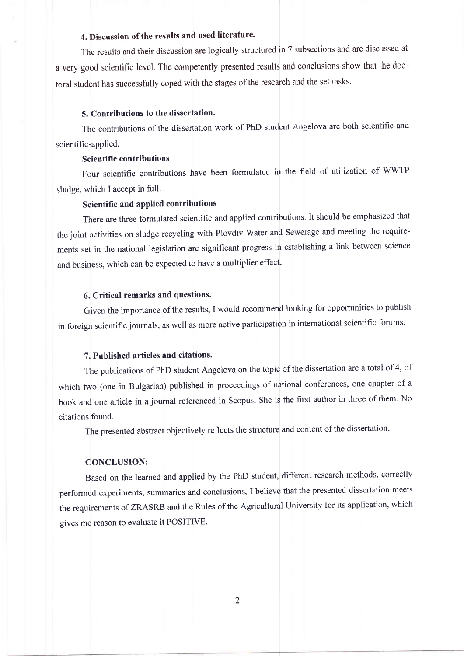## 4. Discussion of the results and used literature.

The results and their discussion are logically structured in 7 subsections and are discussed at a very good scientific level. The competently presented results and conclusions show that the doctoral student has successfully coped with the stages of the research and the set tasks.

#### 5. Contributions to the dissertation.

The contributions of the dissertation work of PhD student Angelova are both scientific and scientific-applied.

#### Scientific contributions

Four scientific contributions have been formulated in the field of utilization of WWTP sludge, which I accept in full.

#### Scientific and applied contributions

There are three formulated scientific and applied contributions. It should be emphasized that the joint activities on sludge recycling with Plovdiv Water and Sewerage and meeting the requirements set in the national legislation are significant progress in establishing a link between science and business, which can be expected to have a multiplier effect.

### 6. Criitical remarks and questions.

Given the importance of the results, I would recommend looking for opportunities to publish in foreign scientific journals, as well as more active participation in international scientific forums.

#### 7. Published articles and citations.

The publications of PhD student Angelova on the topic of the dissertation are a total of 4, of which two (one in Bulgarian) published in proceedings of national conferences, one chapter of a book and one article in a journal referenced in Scopus. She is the first author in three of them. No citations found.

The presented abstract objectively reflects the structure and content of the dissertation.

#### CONCLUSION:

Based on the learned and applied by the PhD student, different research methods, correctly performed experiments, summaries and conclusions, I believe that the presented dissertation meets the requirements of ZRASRB and the Rules of the Agricultural University for its application, which gives me reason to evaluate it POSITIVE.

 $\overline{2}$